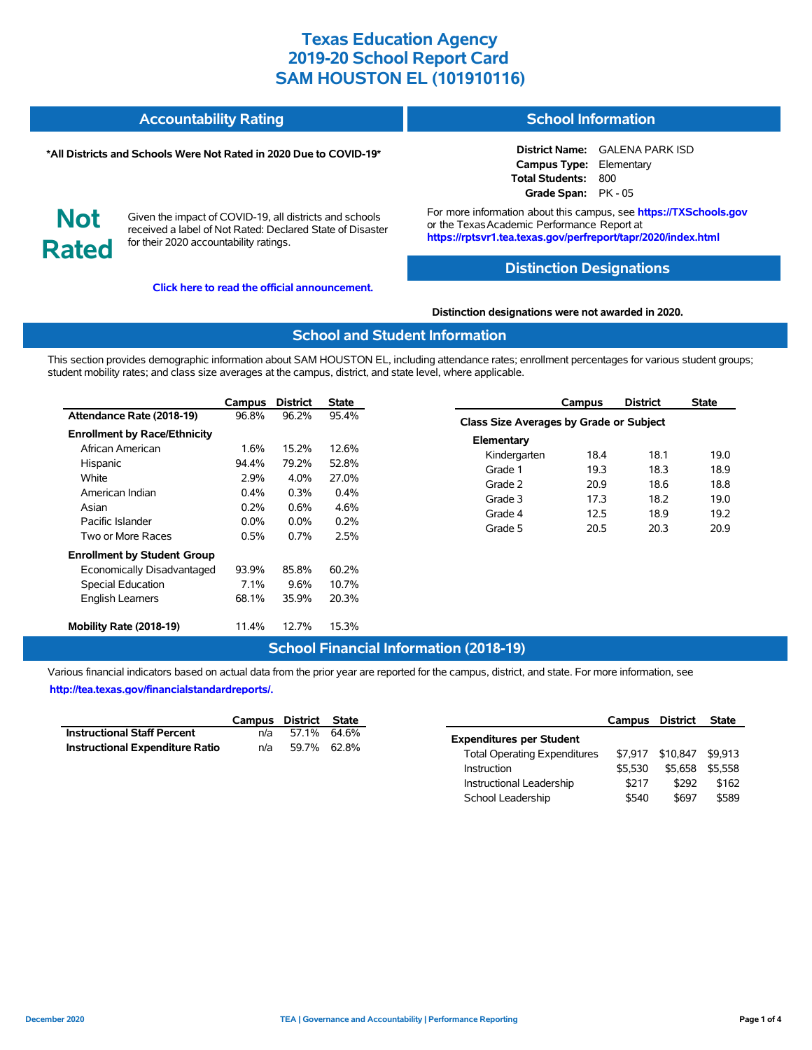#### **Accountability Rating School Information**

#### **\*All Districts and Schools Were Not Rated in 2020 Due to COVID-19\***

**District Name:** GALENA PARK ISD **Campus Type:** Elementary **Total Students:** 800 **Grade Span:** PK - 05

**Not Rated**

Given the impact of COVID-19, all districts and schools received a label of Not Rated: Declared State of Disaster for their 2020 accountability ratings.

**[Click here to read the official announcement.](https://tea.texas.gov/about-tea/news-and-multimedia/correspondence/taa-letters/every-student-succeeds-act-essa-waiver-approval-2020-state-academic-accountability)**

For more information about this campus, see **https://TXSchools.gov** or the Texas Academic Performance Report at **https://rptsvr1.tea.texas.gov/perfreport/tapr/2020/index.html**

### **Distinction Designations**

**Distinction designations were not awarded in 2020.**

### **School and Student Information**

This section provides demographic information about SAM HOUSTON EL, including attendance rates; enrollment percentages for various student groups; student mobility rates; and class size averages at the campus, district, and state level, where applicable.

|                                     | Campus  | <b>District</b> | <b>State</b> |
|-------------------------------------|---------|-----------------|--------------|
| Attendance Rate (2018-19)           | 96.8%   | 96.2%           | 95.4%        |
| <b>Enrollment by Race/Ethnicity</b> |         |                 |              |
| African American                    | 1.6%    | 15.2%           | 12.6%        |
| Hispanic                            | 94.4%   | 79.2%           | 52.8%        |
| White                               | 2.9%    | $4.0\%$         | 27.0%        |
| American Indian                     | $0.4\%$ | 0.3%            | 0.4%         |
| Asian                               | $0.2\%$ | 0.6%            | 4.6%         |
| Pacific Islander                    | $0.0\%$ | $0.0\%$         | 0.2%         |
| Two or More Races                   | 0.5%    | $0.7\%$         | 2.5%         |
| <b>Enrollment by Student Group</b>  |         |                 |              |
| Economically Disadvantaged          | 93.9%   | 85.8%           | 60.2%        |
| <b>Special Education</b>            | $7.1\%$ | 9.6%            | 10.7%        |
| <b>English Learners</b>             | 68.1%   | 35.9%           | 20.3%        |
| Mobility Rate (2018-19)             | 11.4%   | 12.7%           | 15.3%        |

|                                                | Campus | <b>District</b> | State |  |  |  |  |  |  |  |
|------------------------------------------------|--------|-----------------|-------|--|--|--|--|--|--|--|
| <b>Class Size Averages by Grade or Subject</b> |        |                 |       |  |  |  |  |  |  |  |
| Elementary                                     |        |                 |       |  |  |  |  |  |  |  |
| Kindergarten                                   | 18.4   | 18.1            | 19.0  |  |  |  |  |  |  |  |
| Grade 1                                        | 19.3   | 18.3            | 18.9  |  |  |  |  |  |  |  |
| Grade 2                                        | 20.9   | 18.6            | 18.8  |  |  |  |  |  |  |  |
| Grade 3                                        | 17.3   | 18.2            | 19.0  |  |  |  |  |  |  |  |
| Grade 4                                        | 12.5   | 18.9            | 19.2  |  |  |  |  |  |  |  |
| Grade 5                                        | 20.5   | 20.3            | 20.9  |  |  |  |  |  |  |  |
|                                                |        |                 |       |  |  |  |  |  |  |  |

### **School Financial Information (2018-19)**

Various financial indicators based on actual data from the prior year are reported for the campus, district, and state. For more information, see **[http://tea.texas.gov/financialstandardreports/.](http://tea.texas.gov/financialstandardreports/)**

|                                        | Campus District State |             |  |
|----------------------------------------|-----------------------|-------------|--|
| <b>Instructional Staff Percent</b>     | n/a                   | 57.1% 64.6% |  |
| <b>Instructional Expenditure Ratio</b> | n/a                   | 59.7% 62.8% |  |

|                                     | Campus  | District | <b>State</b> |
|-------------------------------------|---------|----------|--------------|
| <b>Expenditures per Student</b>     |         |          |              |
| <b>Total Operating Expenditures</b> | \$7.917 | \$10.847 | \$9.913      |
| Instruction                         | \$5.530 | \$5.658  | \$5.558      |
| Instructional Leadership            | \$217   | \$292    | \$162        |
| School Leadership                   | \$540   | \$697    | \$589        |

Ĭ.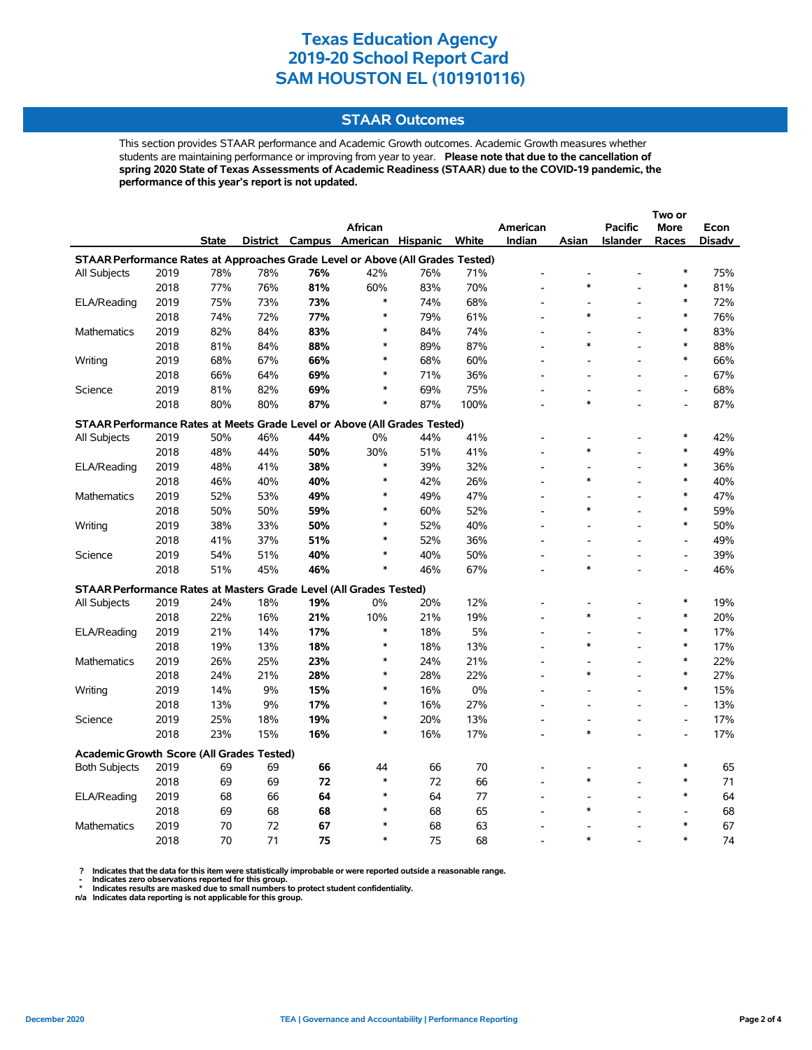#### **STAAR Outcomes**

This section provides STAAR performance and Academic Growth outcomes. Academic Growth measures whether students are maintaining performance or improving from year to year. **Please note that due to the cancellation of spring 2020 State of Texas Assessments of Academic Readiness (STAAR) due to the COVID-19 pandemic, the performance of this year's report is not updated.**

|                                                                                |      |              |     |     | <b>African</b>                    |     |       | American                 |        | <b>Pacific</b>           | More                         | Econ   |
|--------------------------------------------------------------------------------|------|--------------|-----|-----|-----------------------------------|-----|-------|--------------------------|--------|--------------------------|------------------------------|--------|
|                                                                                |      | <b>State</b> |     |     | District Campus American Hispanic |     | White | Indian                   | Asian  | <b>Islander</b>          | Races                        | Disadv |
| STAAR Performance Rates at Approaches Grade Level or Above (All Grades Tested) |      |              |     |     |                                   |     |       |                          |        |                          |                              |        |
| All Subjects                                                                   | 2019 | 78%          | 78% | 76% | 42%                               | 76% | 71%   |                          |        |                          | $\ast$                       | 75%    |
|                                                                                | 2018 | 77%          | 76% | 81% | 60%                               | 83% | 70%   |                          |        |                          | $\ast$                       | 81%    |
| ELA/Reading                                                                    | 2019 | 75%          | 73% | 73% | $\ast$                            | 74% | 68%   |                          |        |                          | $\ast$                       | 72%    |
|                                                                                | 2018 | 74%          | 72% | 77% | $\ast$                            | 79% | 61%   |                          | $\ast$ |                          | $\ast$                       | 76%    |
| <b>Mathematics</b>                                                             | 2019 | 82%          | 84% | 83% | $\ast$                            | 84% | 74%   |                          |        | L,                       | $\ast$                       | 83%    |
|                                                                                | 2018 | 81%          | 84% | 88% | $\ast$                            | 89% | 87%   | $\overline{a}$           | $\ast$ | $\overline{\phantom{a}}$ | $\ast$                       | 88%    |
| Writing                                                                        | 2019 | 68%          | 67% | 66% | $\ast$                            | 68% | 60%   | $\overline{a}$           |        |                          | $\ast$                       | 66%    |
|                                                                                | 2018 | 66%          | 64% | 69% | $\ast$                            | 71% | 36%   |                          |        |                          | L,                           | 67%    |
| Science                                                                        | 2019 | 81%          | 82% | 69% | $\ast$                            | 69% | 75%   |                          |        |                          | $\qquad \qquad \blacksquare$ | 68%    |
|                                                                                | 2018 | 80%          | 80% | 87% | $\ast$                            | 87% | 100%  |                          | $\ast$ |                          |                              | 87%    |
| STAAR Performance Rates at Meets Grade Level or Above (All Grades Tested)      |      |              |     |     |                                   |     |       |                          |        |                          |                              |        |
| All Subjects                                                                   | 2019 | 50%          | 46% | 44% | 0%                                | 44% | 41%   |                          |        |                          | $\ast$                       | 42%    |
|                                                                                | 2018 | 48%          | 44% | 50% | 30%                               | 51% | 41%   |                          | $\ast$ |                          | $\ast$                       | 49%    |
| ELA/Reading                                                                    | 2019 | 48%          | 41% | 38% | *                                 | 39% | 32%   |                          |        | L,                       | $\ast$                       | 36%    |
|                                                                                | 2018 | 46%          | 40% | 40% | $\ast$                            | 42% | 26%   |                          | $\ast$ |                          | $\ast$                       | 40%    |
| Mathematics                                                                    | 2019 | 52%          | 53% | 49% | $\ast$                            | 49% | 47%   |                          |        |                          | $\ast$                       | 47%    |
|                                                                                | 2018 | 50%          | 50% | 59% | $\ast$                            | 60% | 52%   | $\overline{a}$           | $\ast$ |                          | $\ast$                       | 59%    |
| Writing                                                                        | 2019 | 38%          | 33% | 50% | $\ast$                            | 52% | 40%   | $\overline{\phantom{a}}$ |        |                          | $\ast$                       | 50%    |
|                                                                                | 2018 | 41%          | 37% | 51% | $\ast$                            | 52% | 36%   |                          |        |                          | $\overline{\phantom{a}}$     | 49%    |
| Science                                                                        | 2019 | 54%          | 51% | 40% | $\ast$                            | 40% | 50%   |                          |        |                          | $\overline{a}$               | 39%    |
|                                                                                | 2018 | 51%          | 45% | 46% | $\ast$                            | 46% | 67%   |                          | $\ast$ |                          | $\overline{a}$               | 46%    |
| STAAR Performance Rates at Masters Grade Level (All Grades Tested)             |      |              |     |     |                                   |     |       |                          |        |                          |                              |        |
| All Subjects                                                                   | 2019 | 24%          | 18% | 19% | 0%                                | 20% | 12%   |                          |        |                          | $\ast$                       | 19%    |
|                                                                                | 2018 | 22%          | 16% | 21% | 10%                               | 21% | 19%   |                          | $\ast$ |                          | $\ast$                       | 20%    |
| ELA/Reading                                                                    | 2019 | 21%          | 14% | 17% | $\ast$                            | 18% | 5%    |                          |        | $\overline{a}$           | $\ast$                       | 17%    |
|                                                                                | 2018 | 19%          | 13% | 18% | $\ast$                            | 18% | 13%   |                          | $\ast$ |                          | $\ast$                       | 17%    |
| Mathematics                                                                    | 2019 | 26%          | 25% | 23% | ∗                                 | 24% | 21%   |                          |        |                          | $\ast$                       | 22%    |
|                                                                                | 2018 | 24%          | 21% | 28% | $\ast$                            | 28% | 22%   |                          |        |                          | $\ast$                       | 27%    |
| Writing                                                                        | 2019 | 14%          | 9%  | 15% | $\ast$                            | 16% | 0%    | $\overline{\phantom{a}}$ |        |                          | $\ast$                       | 15%    |
|                                                                                | 2018 | 13%          | 9%  | 17% | $\ast$                            | 16% | 27%   |                          |        |                          | $\qquad \qquad \blacksquare$ | 13%    |
| Science                                                                        | 2019 | 25%          | 18% | 19% | $\ast$                            | 20% | 13%   | ۰                        |        |                          | $\overline{\phantom{a}}$     | 17%    |
|                                                                                | 2018 | 23%          | 15% | 16% | $\ast$                            | 16% | 17%   |                          | $\ast$ |                          | $\overline{a}$               | 17%    |
| <b>Academic Growth Score (All Grades Tested)</b>                               |      |              |     |     |                                   |     |       |                          |        |                          |                              |        |
| <b>Both Subjects</b>                                                           | 2019 | 69           | 69  | 66  | 44                                | 66  | 70    |                          |        |                          | $\ast$                       | 65     |
|                                                                                | 2018 | 69           | 69  | 72  | $\ast$                            | 72  | 66    |                          | $\ast$ |                          | *                            | 71     |
| ELA/Reading                                                                    | 2019 | 68           | 66  | 64  | $\ast$                            | 64  | 77    |                          |        |                          | $\ast$                       | 64     |
|                                                                                | 2018 | 69           | 68  | 68  | $\ast$                            | 68  | 65    |                          | $\ast$ |                          |                              | 68     |
| <b>Mathematics</b>                                                             | 2019 | 70           | 72  | 67  | $\ast$                            | 68  | 63    |                          |        |                          | $\ast$                       | 67     |
|                                                                                | 2018 | 70           | 71  | 75  | $\ast$                            | 75  | 68    |                          |        |                          | $\ast$                       | 74     |

? Indicates that the data for this item were statistically improbable or were reported outside a reasonable range.<br>- Indicates zero observations reported for this group.<br>\* Indicates results are masked due to small numbers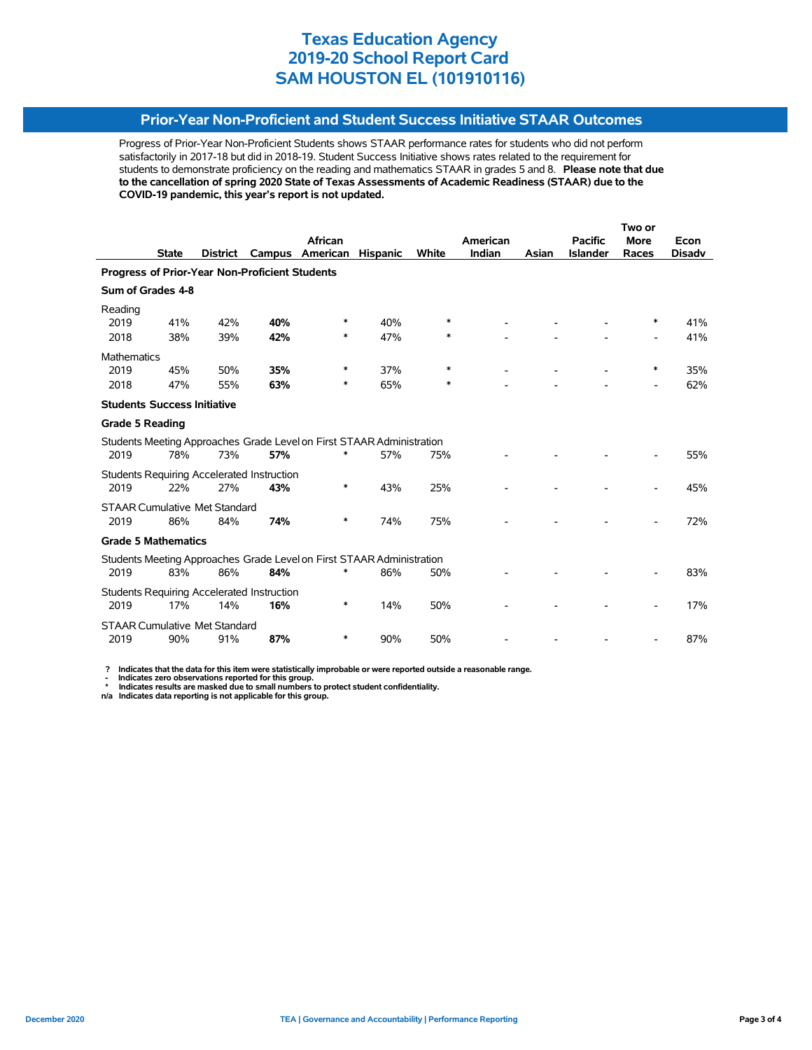### **Prior-Year Non-Proficient and Student Success Initiative STAAR Outcomes**

Progress of Prior-Year Non-Proficient Students shows STAAR performance rates for students who did not perform satisfactorily in 2017-18 but did in 2018-19. Student Success Initiative shows rates related to the requirement for students to demonstrate proficiency on the reading and mathematics STAAR in grades 5 and 8. **Please note that due to the cancellation of spring 2020 State of Texas Assessments of Academic Readiness (STAAR) due to the COVID-19 pandemic, this year's report is not updated.**

|                                                                       |              |                 |                                            |                                                                       |                 |        |          |       | Two or          |                          |               |  |
|-----------------------------------------------------------------------|--------------|-----------------|--------------------------------------------|-----------------------------------------------------------------------|-----------------|--------|----------|-------|-----------------|--------------------------|---------------|--|
|                                                                       |              |                 |                                            | African                                                               |                 |        | American |       | <b>Pacific</b>  | <b>More</b>              | Econ          |  |
|                                                                       | <b>State</b> | <b>District</b> | Campus                                     | American                                                              | <b>Hispanic</b> | White  | Indian   | Asian | <b>Islander</b> | Races                    | <b>Disadv</b> |  |
| <b>Progress of Prior-Year Non-Proficient Students</b>                 |              |                 |                                            |                                                                       |                 |        |          |       |                 |                          |               |  |
| Sum of Grades 4-8                                                     |              |                 |                                            |                                                                       |                 |        |          |       |                 |                          |               |  |
| Reading                                                               |              |                 |                                            |                                                                       |                 |        |          |       |                 |                          |               |  |
| 2019                                                                  | 41%          | 42%             | 40%                                        | *                                                                     | 40%             | $\ast$ |          |       |                 | ∗                        | 41%           |  |
| 2018                                                                  | 38%          | 39%             | 42%                                        | *                                                                     | 47%             | $\ast$ |          |       |                 |                          | 41%           |  |
| <b>Mathematics</b>                                                    |              |                 |                                            |                                                                       |                 |        |          |       |                 |                          |               |  |
| 2019                                                                  | 45%          | 50%             | 35%                                        | ∗                                                                     | 37%             | $\ast$ |          |       |                 | $\ast$                   | 35%           |  |
| 2018                                                                  | 47%          | 55%             | 63%                                        | ∗                                                                     | 65%             | ∗      |          |       |                 | $\overline{\phantom{0}}$ | 62%           |  |
| <b>Students Success Initiative</b>                                    |              |                 |                                            |                                                                       |                 |        |          |       |                 |                          |               |  |
| <b>Grade 5 Reading</b>                                                |              |                 |                                            |                                                                       |                 |        |          |       |                 |                          |               |  |
|                                                                       |              |                 |                                            | Students Meeting Approaches Grade Level on First STAAR Administration |                 |        |          |       |                 |                          |               |  |
| 2019                                                                  | 78%          | 73%             | 57%                                        | *                                                                     | 57%             | 75%    |          |       |                 |                          | 55%           |  |
|                                                                       |              |                 | Students Requiring Accelerated Instruction |                                                                       |                 |        |          |       |                 |                          |               |  |
| 2019                                                                  | 22%          | 27%             | 43%                                        | *                                                                     | 43%             | 25%    |          |       |                 |                          | 45%           |  |
| <b>STAAR Cumulative Met Standard</b>                                  |              |                 |                                            |                                                                       |                 |        |          |       |                 |                          |               |  |
| 2019                                                                  | 86%          | 84%             | 74%                                        | *                                                                     | 74%             | 75%    |          |       |                 |                          | 72%           |  |
| <b>Grade 5 Mathematics</b>                                            |              |                 |                                            |                                                                       |                 |        |          |       |                 |                          |               |  |
| Students Meeting Approaches Grade Level on First STAAR Administration |              |                 |                                            |                                                                       |                 |        |          |       |                 |                          |               |  |
| 2019                                                                  | 83%          | 86%             | 84%                                        |                                                                       | 86%             | 50%    |          |       |                 |                          | 83%           |  |
|                                                                       |              |                 | Students Requiring Accelerated Instruction |                                                                       |                 |        |          |       |                 |                          |               |  |
| 2019                                                                  | 17%          | 14%             | 16%                                        | $\ast$                                                                | 14%             | 50%    |          |       |                 |                          | 17%           |  |
| <b>STAAR Cumulative Met Standard</b>                                  |              |                 |                                            |                                                                       |                 |        |          |       |                 |                          |               |  |
| 2019                                                                  | 90%          | 91%             | 87%                                        | *                                                                     | 90%             | 50%    |          |       |                 |                          | 87%           |  |
|                                                                       |              |                 |                                            |                                                                       |                 |        |          |       |                 |                          |               |  |

 **? Indicates that the data for this item were statistically improbable or were reported outside a reasonable range.**

 **- Indicates zero observations reported for this group. \* Indicates results are masked due to small numbers to protect student confidentiality.**

**n/a Indicates data reporting is not applicable for this group.**